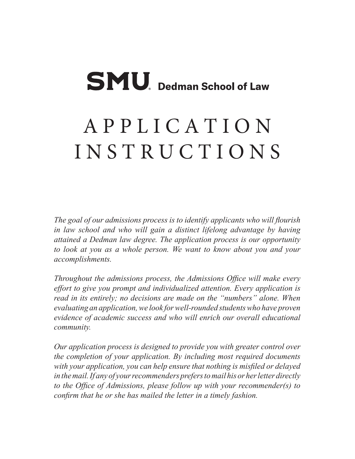# **SMU**. Dedman School of Law

## A P P L I C A T I O N I N S T R U C T I O N S

*The goal of our admissions process is to identify applicants who will flourish in law school and who will gain a distinct lifelong advantage by having attained a Dedman law degree. The application process is our opportunity to look at you as a whole person. We want to know about you and your accomplishments.*

*Throughout the admissions process, the Admissions Office will make every effort to give you prompt and individualized attention. Every application is read in its entirely; no decisions are made on the "numbers" alone. When evaluating an application, we look for well-rounded students who have proven evidence of academic success and who will enrich our overall educational community.*

*Our application process is designed to provide you with greater control over the completion of your application. By including most required documents with your application, you can help ensure that nothing is misfiled or delayed in the mail. If any of your recommenders prefers to mail his or her letter directly to the Office of Admissions, please follow up with your recommender(s) to confirm that he or she has mailed the letter in a timely fashion.*